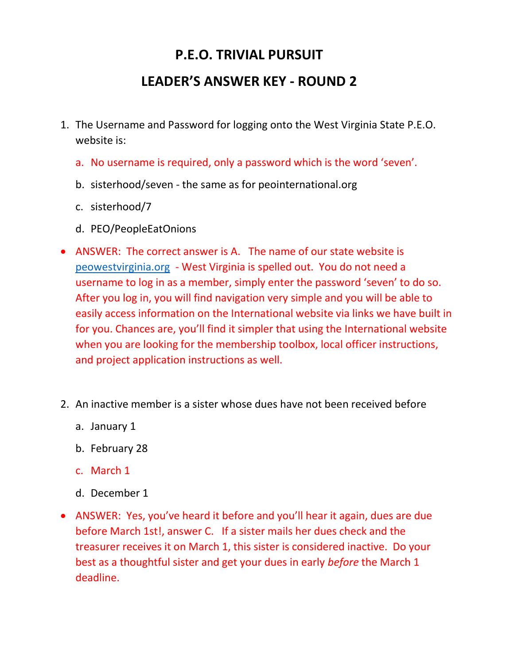## P.E.O. TRIVIAL PURSUIT

## LEADER'S ANSWER KEY - ROUND 2

- 1. The Username and Password for logging onto the West Virginia State P.E.O. website is:
	- a. No username is required, only a password which is the word 'seven'.
	- b. sisterhood/seven the same as for peointernational.org
	- c. sisterhood/7
	- d. PEO/PeopleEatOnions
- ANSWER: The correct answer is A. The name of our state website is peowestvirginia.org - West Virginia is spelled out. You do not need a username to log in as a member, simply enter the password 'seven' to do so. After you log in, you will find navigation very simple and you will be able to easily access information on the International website via links we have built in for you. Chances are, you'll find it simpler that using the International website when you are looking for the membership toolbox, local officer instructions, and project application instructions as well.
- 2. An inactive member is a sister whose dues have not been received before
	- a. January 1
	- b. February 28
	- c. March 1
	- d. December 1
- ANSWER: Yes, you've heard it before and you'll hear it again, dues are due before March 1st!, answer C. If a sister mails her dues check and the treasurer receives it on March 1, this sister is considered inactive. Do your best as a thoughtful sister and get your dues in early before the March 1 deadline.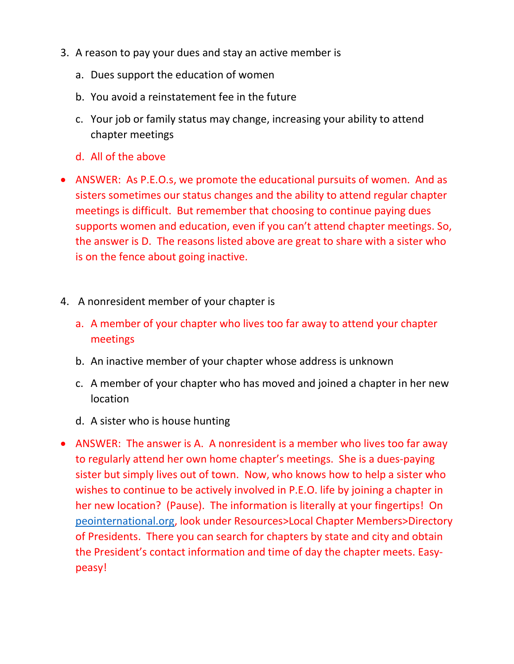- 3. A reason to pay your dues and stay an active member is
	- a. Dues support the education of women
	- b. You avoid a reinstatement fee in the future
	- c. Your job or family status may change, increasing your ability to attend chapter meetings
	- d. All of the above
- ANSWER: As P.E.O.s, we promote the educational pursuits of women. And as sisters sometimes our status changes and the ability to attend regular chapter meetings is difficult. But remember that choosing to continue paying dues supports women and education, even if you can't attend chapter meetings. So, the answer is D. The reasons listed above are great to share with a sister who is on the fence about going inactive.
- 4. A nonresident member of your chapter is
	- a. A member of your chapter who lives too far away to attend your chapter meetings
	- b. An inactive member of your chapter whose address is unknown
	- c. A member of your chapter who has moved and joined a chapter in her new location
	- d. A sister who is house hunting
- ANSWER: The answer is A. A nonresident is a member who lives too far away to regularly attend her own home chapter's meetings. She is a dues-paying sister but simply lives out of town. Now, who knows how to help a sister who wishes to continue to be actively involved in P.E.O. life by joining a chapter in her new location? (Pause). The information is literally at your fingertips! On peointernational.org, look under Resources>Local Chapter Members>Directory of Presidents. There you can search for chapters by state and city and obtain the President's contact information and time of day the chapter meets. Easypeasy!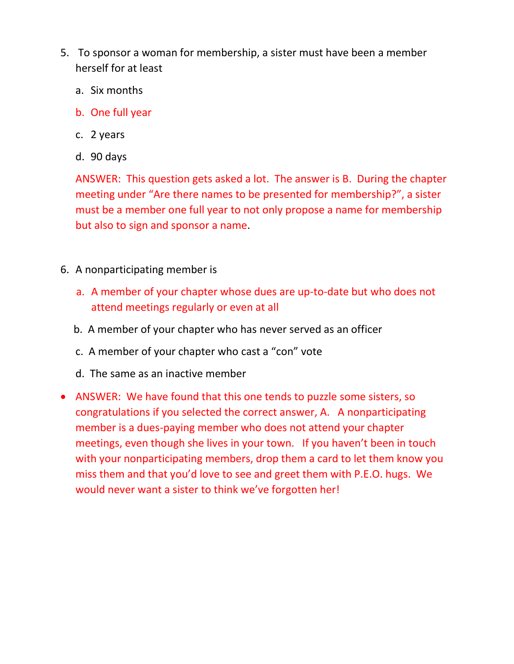- 5. To sponsor a woman for membership, a sister must have been a member herself for at least
	- a. Six months
	- b. One full year
	- c. 2 years
	- d. 90 days

ANSWER: This question gets asked a lot. The answer is B. During the chapter meeting under "Are there names to be presented for membership?", a sister must be a member one full year to not only propose a name for membership but also to sign and sponsor a name.

- 6. A nonparticipating member is
	- a. A member of your chapter whose dues are up-to-date but who does not attend meetings regularly or even at all
	- b. A member of your chapter who has never served as an officer
	- c. A member of your chapter who cast a "con" vote
	- d. The same as an inactive member
- ANSWER: We have found that this one tends to puzzle some sisters, so congratulations if you selected the correct answer, A. A nonparticipating member is a dues-paying member who does not attend your chapter meetings, even though she lives in your town. If you haven't been in touch with your nonparticipating members, drop them a card to let them know you miss them and that you'd love to see and greet them with P.E.O. hugs. We would never want a sister to think we've forgotten her!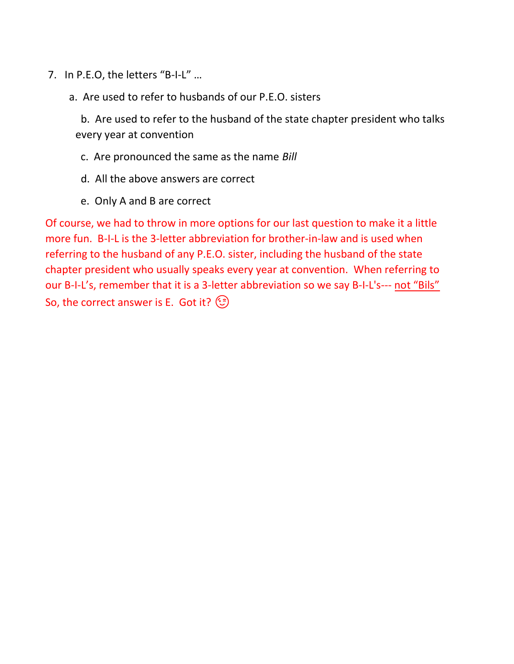- 7. In P.E.O, the letters "B-I-L" …
	- a. Are used to refer to husbands of our P.E.O. sisters

 b. Are used to refer to the husband of the state chapter president who talks every year at convention

- c. Are pronounced the same as the name Bill
- d. All the above answers are correct
- e. Only A and B are correct

Of course, we had to throw in more options for our last question to make it a little more fun. B-I-L is the 3-letter abbreviation for brother-in-law and is used when referring to the husband of any P.E.O. sister, including the husband of the state chapter president who usually speaks every year at convention. When referring to our B-I-L's, remember that it is a 3-letter abbreviation so we say B-I-L's--- not "Bils" So, the correct answer is E. Got it?  $\circled{?}$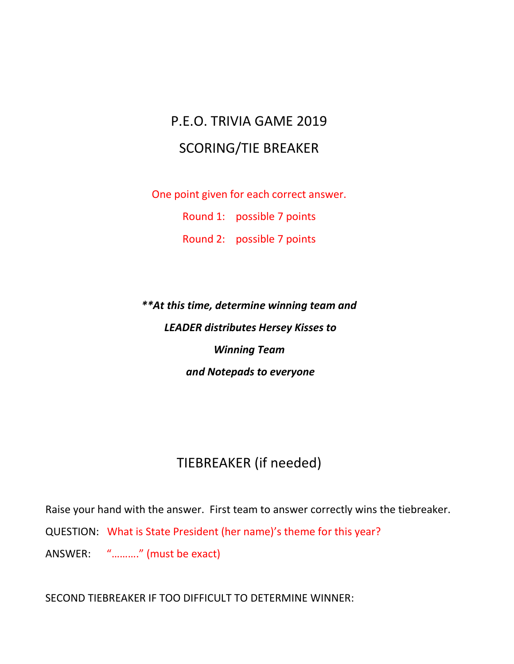## P.E.O. TRIVIA GAME 2019 SCORING/TIE BREAKER

One point given for each correct answer.

Round 1: possible 7 points

Round 2: possible 7 points

\*\*At this time, determine winning team and LEADER distributes Hersey Kisses to Winning Team and Notepads to everyone

## TIEBREAKER (if needed)

Raise your hand with the answer. First team to answer correctly wins the tiebreaker.

QUESTION: What is State President (her name)'s theme for this year?

ANSWER: "………." (must be exact)

SECOND TIEBREAKER IF TOO DIFFICULT TO DETERMINE WINNER: